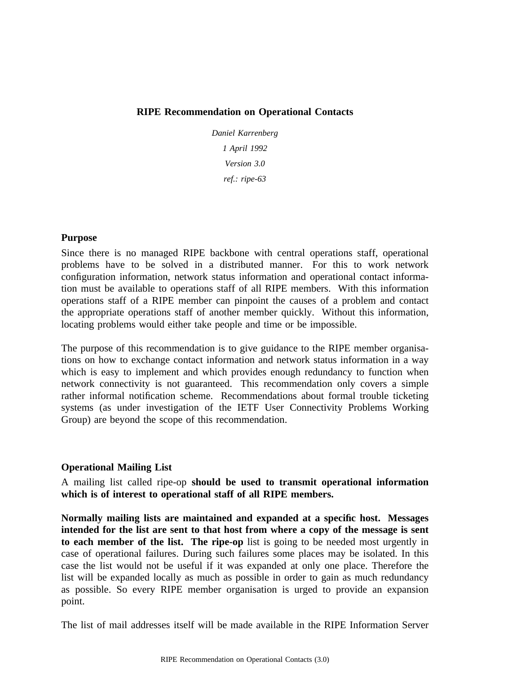## **RIPE Recommendation on Operational Contacts**

*Daniel Karrenberg 1 April 1992 r ef.: ripe-63 Version 3.0*

#### **Purpose**

S ince there is no managed RIPE backbone with central operations staff, operational c onfiguration information, network status information and operational contact informaproblems have to be solved in a distributed manner. For this to work network o perations staff of a RIPE member can pinpoint the causes of a problem and contact tion must be available to operations staff of all RIPE members. With this information the appropriate operations staff of another member quickly. Without this information, l ocating problems would either take people and time or be impossible.

The purpose of this recommendation is to give guidance to the RIPE member organisat ions on how to exchange contact information and network status information in a way which is easy to implement and which provides enough redundancy to function when n etwork connectivity is not guaranteed. This recommendation only covers a simple s ystems (as under investigation of the IETF User Connectivity Problems Working rather informal notification scheme. Recommendations about formal trouble ticketing Group) are beyond the scope of this recommendation.

# **O perational Mailing List**

A mailing list called ripe-op **should be used to transmit operational information which is of interest to operational staff of all RIPE members.**

**N ormally mailing lists are maintained and expanded at a specific host. Messages** intended for the list are sent to that host from where a copy of the message is sent **t o each member of the list. The ripe-op** list is going to be needed most urgently in case of operational failures. During such failures some places may be isolated. In this c ase the list would not be useful if it was expanded at only one place. Therefore the a s possible. So every RIPE member organisation is urged to provide an expansion list will be expanded locally as much as possible in order to gain as much redundancy point.

T he list of mail addresses itself will be made available in the RIPE Information Server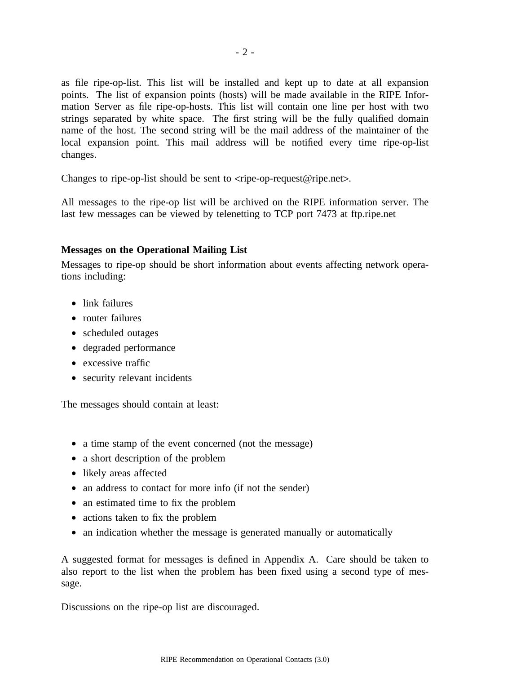as file ripe-op-list. This list will be installed and kept up to date at all expansion p oints. The list of expansion points (hosts) will be made available in the RIPE Infors trings separated by white space. The first string will be the fully qualified domain mation Server as file ripe-op-hosts. This list will contain one line per host with two name of the host. The second string will be the mail address of the maintainer of the l ocal expansion point. This mail address will be notified every time ripe-op-list changes.

C hanges to ripe-op-list should be sent to <ripe-op-request@ripe.net>.

All messages to the ripe-op list will be archived on the RIPE information server. The l ast few messages can be viewed by telenetting to TCP port 7473 at ftp.ripe.net

### **Messages on the Operational Mailing List**

M essages to ripe-op should be short information about events affecting network operations including:

- link failures
- router failures
- scheduled outages
- e degraded performanc
- excessive traffic
- security relevant incidents

T he messages should contain at least:

- a time stamp of the event concerned (not the message)
- a short description of the problem
- likely areas affected
- an address to contact for more info (if not the sender)
- an estimated time to fix the problem
- actions taken to fix the problem
- an indication whether the message is generated manually or automatically

A suggested format for messages is defined in Appendix A. Care should be taken to a lso report to the list when the problem has been fixed using a second type of message.

D iscussions on the ripe-op list are discouraged.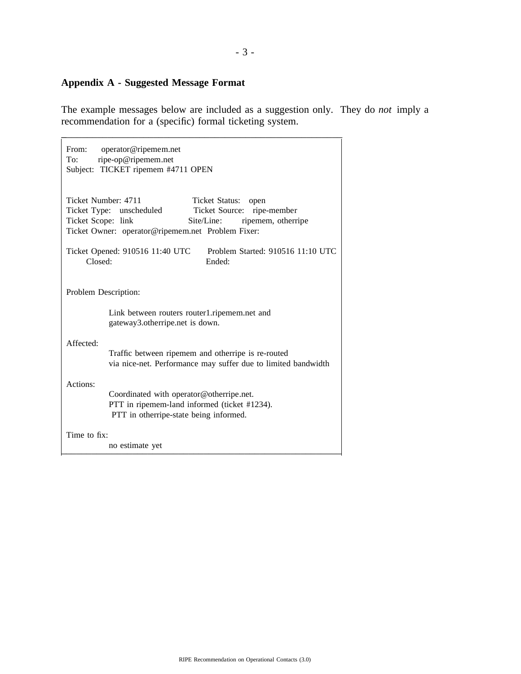# **Appendix A - Suggested Message Format**

T he example messages below are included as a suggestion only. They do *not* imply a recommendation for a (specific) formal ticketing system.

| From:<br>operator@ripemem.net<br>ripe-op@ripemem.net<br>To:<br>Subject: TICKET ripemem #4711 OPEN                                                                                                                      |
|------------------------------------------------------------------------------------------------------------------------------------------------------------------------------------------------------------------------|
| Ticket Number: 4711<br>Ticket Status:<br>open<br>Ticket Source: ripe-member<br>Ticket Type: unscheduled<br>Ticket Scope: link<br>ripemem, otherripe<br>Site/Line:<br>Ticket Owner: operator@ripemem.net Problem Fixer: |
| Problem Started: 910516 11:10 UTC<br>Ticket Opened: 910516 11:40 UTC<br>Closed:<br>Ended:                                                                                                                              |
| Problem Description:                                                                                                                                                                                                   |
| Link between routers router1.ripemem.net and<br>gateway3.otherripe.net is down.                                                                                                                                        |
| Affected:<br>Traffic between ripemem and otherripe is re-routed<br>via nice-net. Performance may suffer due to limited bandwidth                                                                                       |
| Actions:<br>Coordinated with operator@otherripe.net.<br>PTT in ripemem-land informed (ticket #1234).<br>PTT in otherripe-state being informed.                                                                         |
| Time to fix:<br>no estimate yet                                                                                                                                                                                        |